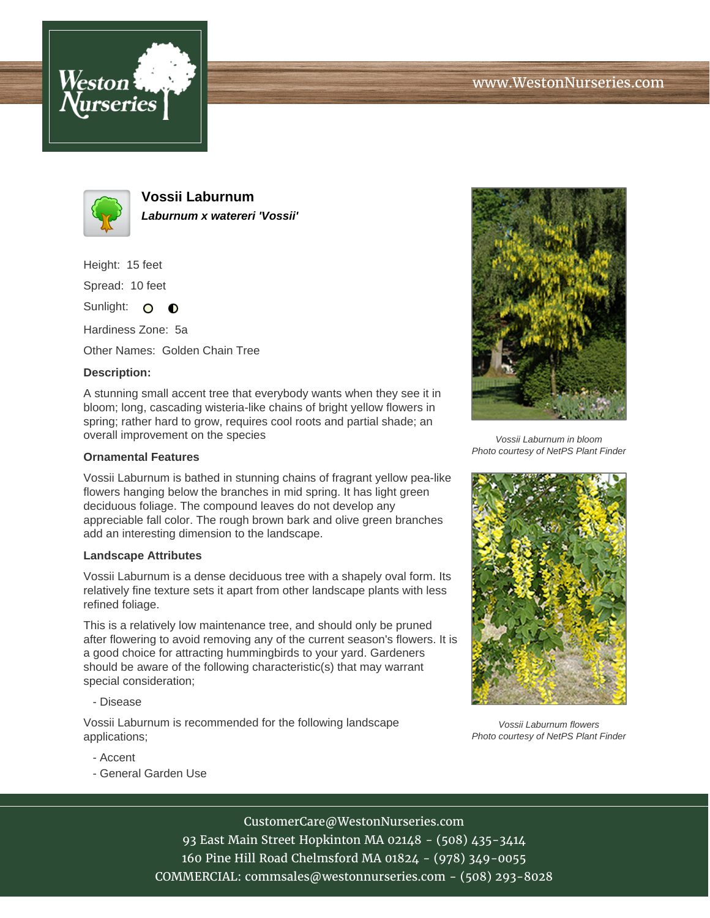



**Vossii Laburnum Laburnum x watereri 'Vossii'**

Height: 15 feet

Spread: 10 feet

Sunlight: O **O** 

Hardiness Zone: 5a

Other Names: Golden Chain Tree

## **Description:**

A stunning small accent tree that everybody wants when they see it in bloom; long, cascading wisteria-like chains of bright yellow flowers in spring; rather hard to grow, requires cool roots and partial shade; an overall improvement on the species

## **Ornamental Features**

Vossii Laburnum is bathed in stunning chains of fragrant yellow pea-like flowers hanging below the branches in mid spring. It has light green deciduous foliage. The compound leaves do not develop any appreciable fall color. The rough brown bark and olive green branches add an interesting dimension to the landscape.

## **Landscape Attributes**

Vossii Laburnum is a dense deciduous tree with a shapely oval form. Its relatively fine texture sets it apart from other landscape plants with less refined foliage.

This is a relatively low maintenance tree, and should only be pruned after flowering to avoid removing any of the current season's flowers. It is a good choice for attracting hummingbirds to your yard. Gardeners should be aware of the following characteristic(s) that may warrant special consideration;

- Disease

Vossii Laburnum is recommended for the following landscape applications;

- Accent
- General Garden Use



Vossii Laburnum in bloom Photo courtesy of NetPS Plant Finder



Vossii Laburnum flowers Photo courtesy of NetPS Plant Finder

CustomerCare@WestonNurseries.com

93 East Main Street Hopkinton MA 02148 - (508) 435-3414 160 Pine Hill Road Chelmsford MA 01824 - (978) 349-0055 COMMERCIAL: commsales@westonnurseries.com - (508) 293-8028